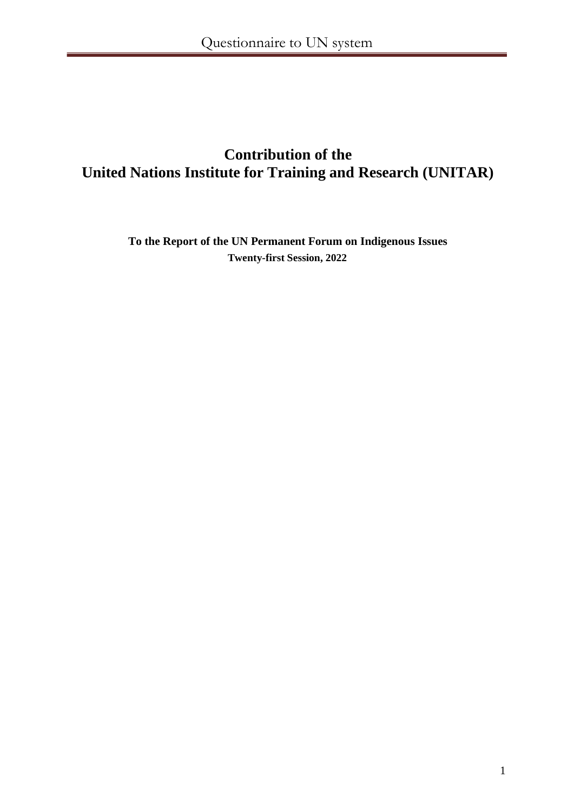# **Contribution of the United Nations Institute for Training and Research (UNITAR)**

**To the Report of the UN Permanent Forum on Indigenous Issues Twenty-first Session, 2022**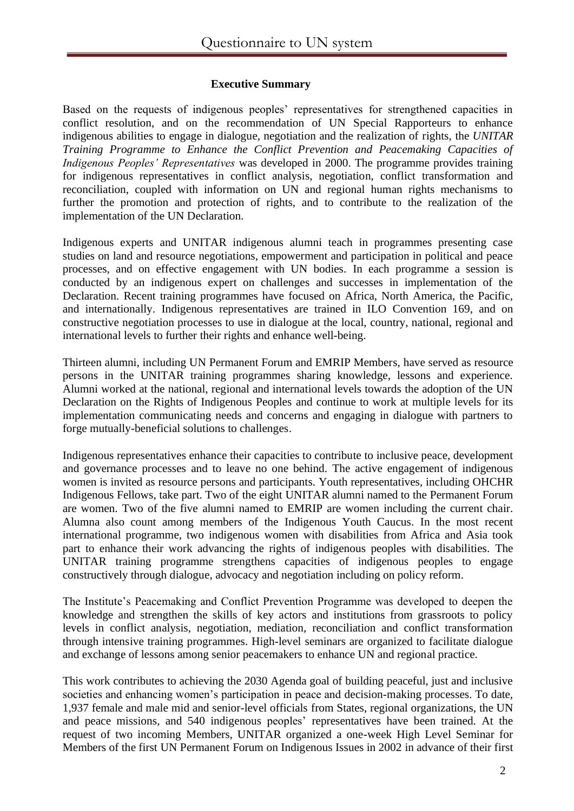## **Executive Summary**

Based on the requests of indigenous peoples' representatives for strengthened capacities in conflict resolution, and on the recommendation of UN Special Rapporteurs to enhance indigenous abilities to engage in dialogue, negotiation and the realization of rights, the *UNITAR Training Programme to Enhance the Conflict Prevention and Peacemaking Capacities of Indigenous Peoples' Representatives* was developed in 2000. The programme provides training for indigenous representatives in conflict analysis, negotiation, conflict transformation and reconciliation, coupled with information on UN and regional human rights mechanisms to further the promotion and protection of rights, and to contribute to the realization of the implementation of the UN Declaration.

Indigenous experts and UNITAR indigenous alumni teach in programmes presenting case studies on land and resource negotiations, empowerment and participation in political and peace processes, and on effective engagement with UN bodies. In each programme a session is conducted by an indigenous expert on challenges and successes in implementation of the Declaration. Recent training programmes have focused on Africa, North America, the Pacific, and internationally. Indigenous representatives are trained in ILO Convention 169, and on constructive negotiation processes to use in dialogue at the local, country, national, regional and international levels to further their rights and enhance well-being.

Thirteen alumni, including UN Permanent Forum and EMRIP Members, have served as resource persons in the UNITAR training programmes sharing knowledge, lessons and experience. Alumni worked at the national, regional and international levels towards the adoption of the UN Declaration on the Rights of Indigenous Peoples and continue to work at multiple levels for its implementation communicating needs and concerns and engaging in dialogue with partners to forge mutually-beneficial solutions to challenges.

Indigenous representatives enhance their capacities to contribute to inclusive peace, development and governance processes and to leave no one behind. The active engagement of indigenous women is invited as resource persons and participants. Youth representatives, including OHCHR Indigenous Fellows, take part. Two of the eight UNITAR alumni named to the Permanent Forum are women. Two of the five alumni named to EMRIP are women including the current chair. Alumna also count among members of the Indigenous Youth Caucus. In the most recent international programme, two indigenous women with disabilities from Africa and Asia took part to enhance their work advancing the rights of indigenous peoples with disabilities. The UNITAR training programme strengthens capacities of indigenous peoples to engage constructively through dialogue, advocacy and negotiation including on policy reform.

The Institute's Peacemaking and Conflict Prevention Programme was developed to deepen the knowledge and strengthen the skills of key actors and institutions from grassroots to policy levels in conflict analysis, negotiation, mediation, reconciliation and conflict transformation through intensive training programmes. High-level seminars are organized to facilitate dialogue and exchange of lessons among senior peacemakers to enhance UN and regional practice.

This work contributes to achieving the 2030 Agenda goal of building peaceful, just and inclusive societies and enhancing women's participation in peace and decision-making processes. To date, 1,937 female and male mid and senior-level officials from States, regional organizations, the UN and peace missions, and 540 indigenous peoples' representatives have been trained. At the request of two incoming Members, UNITAR organized a one-week High Level Seminar for Members of the first UN Permanent Forum on Indigenous Issues in 2002 in advance of their first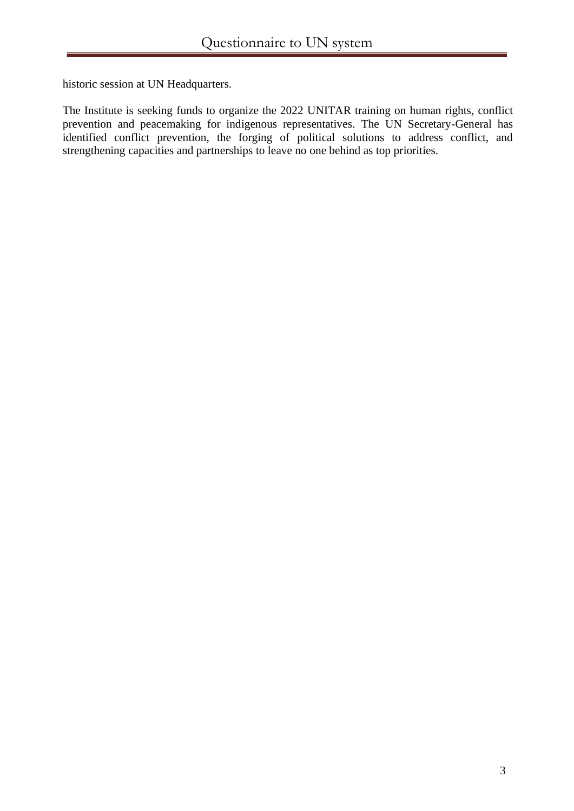historic session at UN Headquarters.

The Institute is seeking funds to organize the 2022 UNITAR training on human rights, conflict prevention and peacemaking for indigenous representatives. The UN Secretary-General has identified conflict prevention, the forging of political solutions to address conflict, and strengthening capacities and partnerships to leave no one behind as top priorities.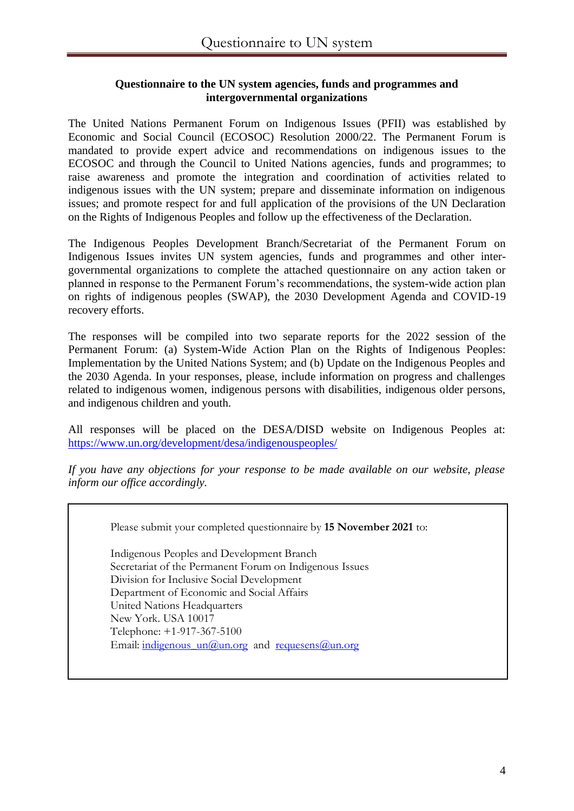#### **Questionnaire to the UN system agencies, funds and programmes and intergovernmental organizations**

The United Nations Permanent Forum on Indigenous Issues (PFII) was established by Economic and Social Council (ECOSOC) Resolution 2000/22. The Permanent Forum is mandated to provide expert advice and recommendations on indigenous issues to the ECOSOC and through the Council to United Nations agencies, funds and programmes; to raise awareness and promote the integration and coordination of activities related to indigenous issues with the UN system; prepare and disseminate information on indigenous issues; and promote respect for and full application of the provisions of the UN Declaration on the Rights of Indigenous Peoples and follow up the effectiveness of the Declaration.

The Indigenous Peoples Development Branch/Secretariat of the Permanent Forum on Indigenous Issues invites UN system agencies, funds and programmes and other intergovernmental organizations to complete the attached questionnaire on any action taken or planned in response to the Permanent Forum's recommendations, the system-wide action plan on rights of indigenous peoples (SWAP), the 2030 Development Agenda and COVID-19 recovery efforts.

The responses will be compiled into two separate reports for the 2022 session of the Permanent Forum: (a) System-Wide Action Plan on the Rights of Indigenous Peoples: Implementation by the United Nations System; and (b) Update on the Indigenous Peoples and the 2030 Agenda. In your responses, please, include information on progress and challenges related to indigenous women, indigenous persons with disabilities, indigenous older persons, and indigenous children and youth.

All responses will be placed on the DESA/DISD website on Indigenous Peoples at: <https://www.un.org/development/desa/indigenouspeoples/>

*If you have any objections for your response to be made available on our website, please inform our office accordingly.*

Please submit your completed questionnaire by **15 November 2021** to:

Indigenous Peoples and Development Branch Secretariat of the Permanent Forum on Indigenous Issues Division for Inclusive Social Development Department of Economic and Social Affairs United Nations Headquarters New York. USA 10017 Telephone: +1-917-367-5100 Email: indigenous  $un(\hat{a})$ un.org and requesens $(\hat{a})$ un.org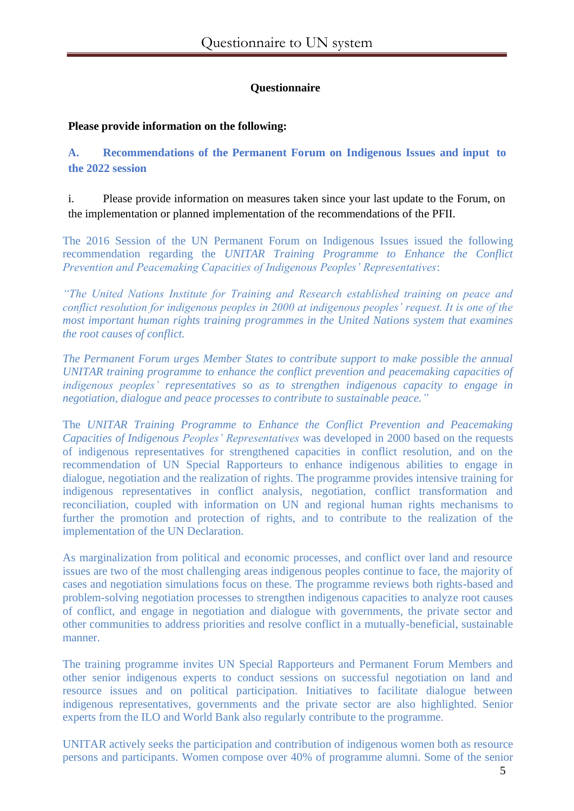## **Questionnaire**

#### **Please provide information on the following:**

**A. Recommendations of the Permanent Forum on Indigenous Issues and input to the 2022 session**

i. Please provide information on measures taken since your last update to the Forum, on the implementation or planned implementation of the recommendations of the PFII.

The 2016 Session of the UN Permanent Forum on Indigenous Issues issued the following recommendation regarding the *UNITAR Training Programme to Enhance the Conflict Prevention and Peacemaking Capacities of Indigenous Peoples' Representatives*:

*"The United Nations Institute for Training and Research established training on peace and conflict resolution for indigenous peoples in 2000 at indigenous peoples' request. It is one of the most important human rights training programmes in the United Nations system that examines the root causes of conflict.* 

*The Permanent Forum urges Member States to contribute support to make possible the annual UNITAR training programme to enhance the conflict prevention and peacemaking capacities of indigenous peoples' representatives so as to strengthen indigenous capacity to engage in negotiation, dialogue and peace processes to contribute to sustainable peace."*

The *UNITAR Training Programme to Enhance the Conflict Prevention and Peacemaking Capacities of Indigenous Peoples' Representatives* was developed in 2000 based on the requests of indigenous representatives for strengthened capacities in conflict resolution, and on the recommendation of UN Special Rapporteurs to enhance indigenous abilities to engage in dialogue, negotiation and the realization of rights. The programme provides intensive training for indigenous representatives in conflict analysis, negotiation, conflict transformation and reconciliation, coupled with information on UN and regional human rights mechanisms to further the promotion and protection of rights, and to contribute to the realization of the implementation of the UN Declaration.

As marginalization from political and economic processes, and conflict over land and resource issues are two of the most challenging areas indigenous peoples continue to face, the majority of cases and negotiation simulations focus on these. The programme reviews both rights-based and problem-solving negotiation processes to strengthen indigenous capacities to analyze root causes of conflict, and engage in negotiation and dialogue with governments, the private sector and other communities to address priorities and resolve conflict in a mutually-beneficial, sustainable manner.

The training programme invites UN Special Rapporteurs and Permanent Forum Members and other senior indigenous experts to conduct sessions on successful negotiation on land and resource issues and on political participation. Initiatives to facilitate dialogue between indigenous representatives, governments and the private sector are also highlighted. Senior experts from the ILO and World Bank also regularly contribute to the programme.

UNITAR actively seeks the participation and contribution of indigenous women both as resource persons and participants. Women compose over 40% of programme alumni. Some of the senior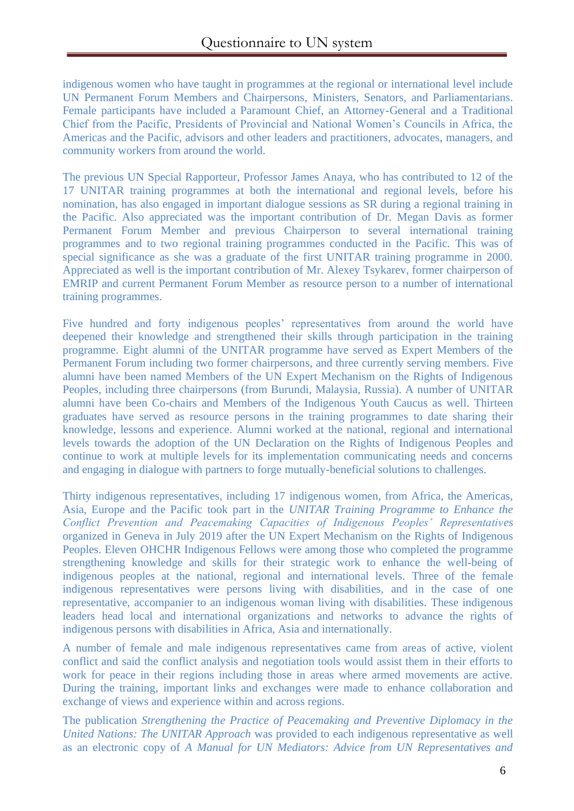indigenous women who have taught in programmes at the regional or international level include UN Permanent Forum Members and Chairpersons, Ministers, Senators, and Parliamentarians. Female participants have included a Paramount Chief, an Attorney-General and a Traditional Chief from the Pacific, Presidents of Provincial and National Women's Councils in Africa, the Americas and the Pacific, advisors and other leaders and practitioners, advocates, managers, and community workers from around the world.

The previous UN Special Rapporteur, Professor James Anaya, who has contributed to 12 of the 17 UNITAR training programmes at both the international and regional levels, before his nomination, has also engaged in important dialogue sessions as SR during a regional training in the Pacific. Also appreciated was the important contribution of Dr. Megan Davis as former Permanent Forum Member and previous Chairperson to several international training programmes and to two regional training programmes conducted in the Pacific. This was of special significance as she was a graduate of the first UNITAR training programme in 2000. Appreciated as well is the important contribution of Mr. Alexey Tsykarev, former chairperson of EMRIP and current Permanent Forum Member as resource person to a number of international training programmes.

Five hundred and forty indigenous peoples' representatives from around the world have deepened their knowledge and strengthened their skills through participation in the training programme. Eight alumni of the UNITAR programme have served as Expert Members of the Permanent Forum including two former chairpersons, and three currently serving members. Five alumni have been named Members of the UN Expert Mechanism on the Rights of Indigenous Peoples, including three chairpersons (from Burundi, Malaysia, Russia). A number of UNITAR alumni have been Co-chairs and Members of the Indigenous Youth Caucus as well. Thirteen graduates have served as resource persons in the training programmes to date sharing their knowledge, lessons and experience. Alumni worked at the national, regional and international levels towards the adoption of the UN Declaration on the Rights of Indigenous Peoples and continue to work at multiple levels for its implementation communicating needs and concerns and engaging in dialogue with partners to forge mutually-beneficial solutions to challenges.

Thirty indigenous representatives, including 17 indigenous women, from Africa, the Americas, Asia, Europe and the Pacific took part in the *UNITAR Training Programme to Enhance the Conflict Prevention and Peacemaking Capacities of Indigenous Peoples' Representatives* organized in Geneva in July 2019 after the UN Expert Mechanism on the Rights of Indigenous Peoples. Eleven OHCHR Indigenous Fellows were among those who completed the programme strengthening knowledge and skills for their strategic work to enhance the well-being of indigenous peoples at the national, regional and international levels. Three of the female indigenous representatives were persons living with disabilities, and in the case of one representative, accompanier to an indigenous woman living with disabilities. These indigenous leaders head local and international organizations and networks to advance the rights of indigenous persons with disabilities in Africa, Asia and internationally.

A number of female and male indigenous representatives came from areas of active, violent conflict and said the conflict analysis and negotiation tools would assist them in their efforts to work for peace in their regions including those in areas where armed movements are active. During the training, important links and exchanges were made to enhance collaboration and exchange of views and experience within and across regions.

The publication *Strengthening the Practice of Peacemaking and Preventive Diplomacy in the United Nations: The UNITAR Approach* was provided to each indigenous representative as well as an electronic copy of *A Manual for UN Mediators: Advice from UN Representatives and*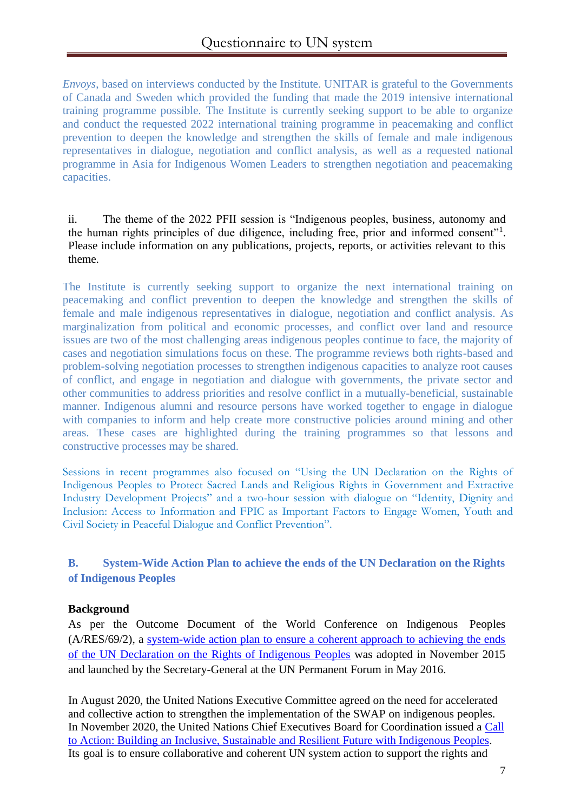*Envoys*, based on interviews conducted by the Institute. UNITAR is grateful to the Governments of Canada and Sweden which provided the funding that made the 2019 intensive international training programme possible. The Institute is currently seeking support to be able to organize and conduct the requested 2022 international training programme in peacemaking and conflict prevention to deepen the knowledge and strengthen the skills of female and male indigenous representatives in dialogue, negotiation and conflict analysis, as well as a requested national programme in Asia for Indigenous Women Leaders to strengthen negotiation and peacemaking capacities.

ii. The theme of the 2022 PFII session is "Indigenous peoples, business, autonomy and the human rights principles of due diligence, including free, prior and informed consent"<sup>1</sup>. Please include information on any publications, projects, reports, or activities relevant to this theme.

The Institute is currently seeking support to organize the next international training on peacemaking and conflict prevention to deepen the knowledge and strengthen the skills of female and male indigenous representatives in dialogue, negotiation and conflict analysis. As marginalization from political and economic processes, and conflict over land and resource issues are two of the most challenging areas indigenous peoples continue to face, the majority of cases and negotiation simulations focus on these. The programme reviews both rights-based and problem-solving negotiation processes to strengthen indigenous capacities to analyze root causes of conflict, and engage in negotiation and dialogue with governments, the private sector and other communities to address priorities and resolve conflict in a mutually-beneficial, sustainable manner. Indigenous alumni and resource persons have worked together to engage in dialogue with companies to inform and help create more constructive policies around mining and other areas. These cases are highlighted during the training programmes so that lessons and constructive processes may be shared.

Sessions in recent programmes also focused on "Using the UN Declaration on the Rights of Indigenous Peoples to Protect Sacred Lands and Religious Rights in Government and Extractive Industry Development Projects" and a two-hour session with dialogue on "Identity, Dignity and Inclusion: Access to Information and FPIC as Important Factors to Engage Women, Youth and Civil Society in Peaceful Dialogue and Conflict Prevention".

# **B. System-Wide Action Plan to achieve the ends of the UN Declaration on the Rights of Indigenous Peoples**

## **Background**

As per the Outcome Document of the World Conference on Indigenous Peoples (A/RES/69/2), a [system-wide action plan to ensure a coherent approach to achieving the ends](https://www.un.org/en/ga/search/view_doc.asp?symbol=E/C.19/2016/5) [of the UN Declaration on the Rights of Indigenous Peoples](https://www.un.org/en/ga/search/view_doc.asp?symbol=E/C.19/2016/5) was adopted in November 2015 and launched by the Secretary-General at the UN Permanent Forum in May 2016.

In August 2020, the United Nations Executive Committee agreed on the need for accelerated and collective action to strengthen the implementation of the SWAP on indigenous peoples. In November 2020, the United Nations Chief Executives Board for Coordination issued a [Call](https://unsceb.org/building-inclusive-sustainable-and-resilient-future-indigenous-peoples-call-action) to Action: Building an Inclusive, [Sustainable](https://unsceb.org/building-inclusive-sustainable-and-resilient-future-indigenous-peoples-call-action) and Resilient Future with Indigenous Peoples. Its goal is to ensure collaborative and coherent UN system action to support the rights and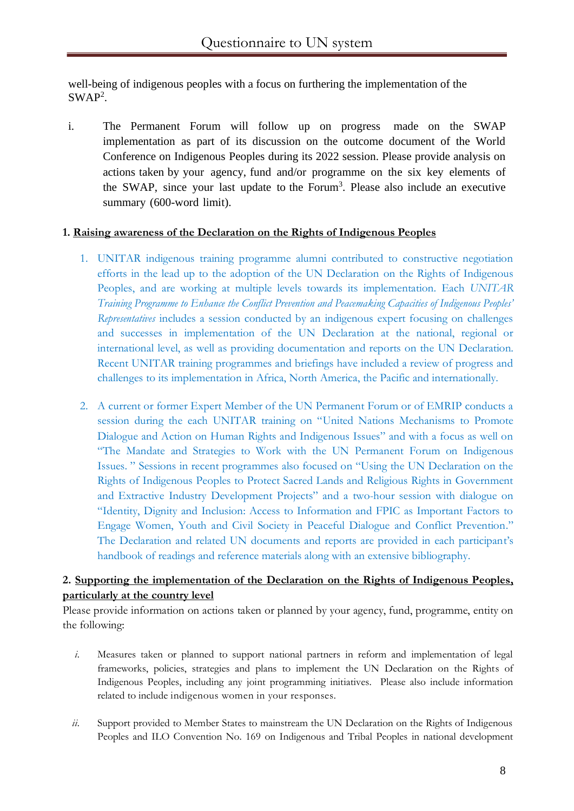well-being of indigenous peoples with a focus on furthering the implementation of the  $SWAP<sup>2</sup>$ .

i. The Permanent Forum will follow up on progress made on the SWAP implementation as part of its discussion on the outcome document of the World Conference on Indigenous Peoples during its 2022 session. Please provide analysis on actions taken by your agency, fund and/or programme on the six key elements of the SWAP, since your last update to the Forum<sup>3</sup>. Please also include an executive summary (600-word limit).

#### **1. Raising awareness of the Declaration on the Rights of Indigenous Peoples**

- 1. UNITAR indigenous training programme alumni contributed to constructive negotiation efforts in the lead up to the adoption of the UN Declaration on the Rights of Indigenous Peoples, and are working at multiple levels towards its implementation. Each *UNITAR Training Programme to Enhance the Conflict Prevention and Peacemaking Capacities of Indigenous Peoples' Representatives* includes a session conducted by an indigenous expert focusing on challenges and successes in implementation of the UN Declaration at the national, regional or international level, as well as providing documentation and reports on the UN Declaration. Recent UNITAR training programmes and briefings have included a review of progress and challenges to its implementation in Africa, North America, the Pacific and internationally.
- 2. A current or former Expert Member of the UN Permanent Forum or of EMRIP conducts a session during the each UNITAR training on "United Nations Mechanisms to Promote Dialogue and Action on Human Rights and Indigenous Issues" and with a focus as well on "The Mandate and Strategies to Work with the UN Permanent Forum on Indigenous Issues. " Sessions in recent programmes also focused on "Using the UN Declaration on the Rights of Indigenous Peoples to Protect Sacred Lands and Religious Rights in Government and Extractive Industry Development Projects" and a two-hour session with dialogue on "Identity, Dignity and Inclusion: Access to Information and FPIC as Important Factors to Engage Women, Youth and Civil Society in Peaceful Dialogue and Conflict Prevention." The Declaration and related UN documents and reports are provided in each participant's handbook of readings and reference materials along with an extensive bibliography.

## **2. Supporting the implementation of the Declaration on the Rights of Indigenous Peoples, particularly at the country level**

Please provide information on actions taken or planned by your agency, fund, programme, entity on the following:

- *i.* Measures taken or planned to support national partners in reform and implementation of legal frameworks, policies, strategies and plans to implement the UN Declaration on the Rights of Indigenous Peoples, including any joint programming initiatives. Please also include information related to include indigenous women in your responses*.*
- *ii.* Support provided to Member States to mainstream the UN Declaration on the Rights of Indigenous Peoples and ILO Convention No. 169 on Indigenous and Tribal Peoples in national development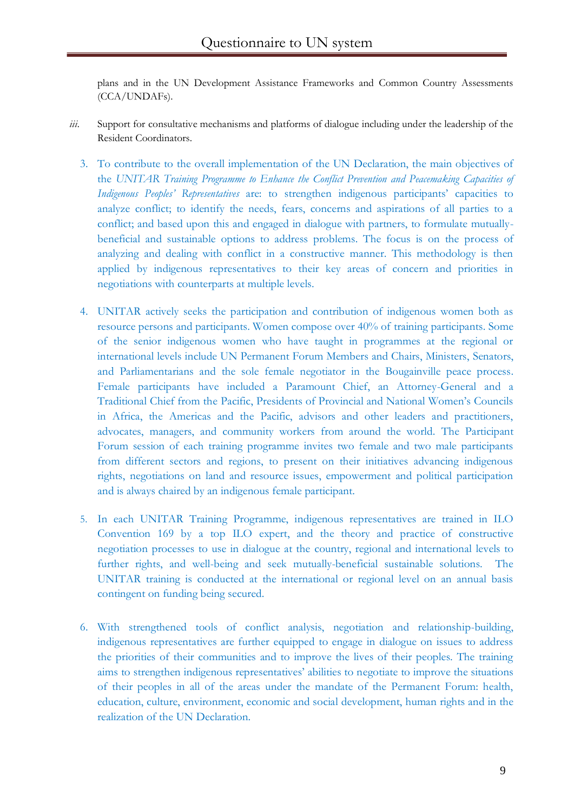plans and in the UN Development Assistance Frameworks and Common Country Assessments (CCA/UNDAFs).

- *iii.* Support for consultative mechanisms and platforms of dialogue including under the leadership of the Resident Coordinators.
	- 3. To contribute to the overall implementation of the UN Declaration, the main objectives of the *UNITAR Training Programme to Enhance the Conflict Prevention and Peacemaking Capacities of Indigenous Peoples' Representatives* are: to strengthen indigenous participants' capacities to analyze conflict; to identify the needs, fears, concerns and aspirations of all parties to a conflict; and based upon this and engaged in dialogue with partners, to formulate mutuallybeneficial and sustainable options to address problems. The focus is on the process of analyzing and dealing with conflict in a constructive manner. This methodology is then applied by indigenous representatives to their key areas of concern and priorities in negotiations with counterparts at multiple levels.
	- 4. UNITAR actively seeks the participation and contribution of indigenous women both as resource persons and participants. Women compose over 40% of training participants. Some of the senior indigenous women who have taught in programmes at the regional or international levels include UN Permanent Forum Members and Chairs, Ministers, Senators, and Parliamentarians and the sole female negotiator in the Bougainville peace process. Female participants have included a Paramount Chief, an Attorney-General and a Traditional Chief from the Pacific, Presidents of Provincial and National Women's Councils in Africa, the Americas and the Pacific, advisors and other leaders and practitioners, advocates, managers, and community workers from around the world. The Participant Forum session of each training programme invites two female and two male participants from different sectors and regions, to present on their initiatives advancing indigenous rights, negotiations on land and resource issues, empowerment and political participation and is always chaired by an indigenous female participant.
	- 5. In each UNITAR Training Programme, indigenous representatives are trained in ILO Convention 169 by a top ILO expert, and the theory and practice of constructive negotiation processes to use in dialogue at the country, regional and international levels to further rights, and well-being and seek mutually-beneficial sustainable solutions. The UNITAR training is conducted at the international or regional level on an annual basis contingent on funding being secured.
	- 6. With strengthened tools of conflict analysis, negotiation and relationship-building, indigenous representatives are further equipped to engage in dialogue on issues to address the priorities of their communities and to improve the lives of their peoples. The training aims to strengthen indigenous representatives' abilities to negotiate to improve the situations of their peoples in all of the areas under the mandate of the Permanent Forum: health, education, culture, environment, economic and social development, human rights and in the realization of the UN Declaration.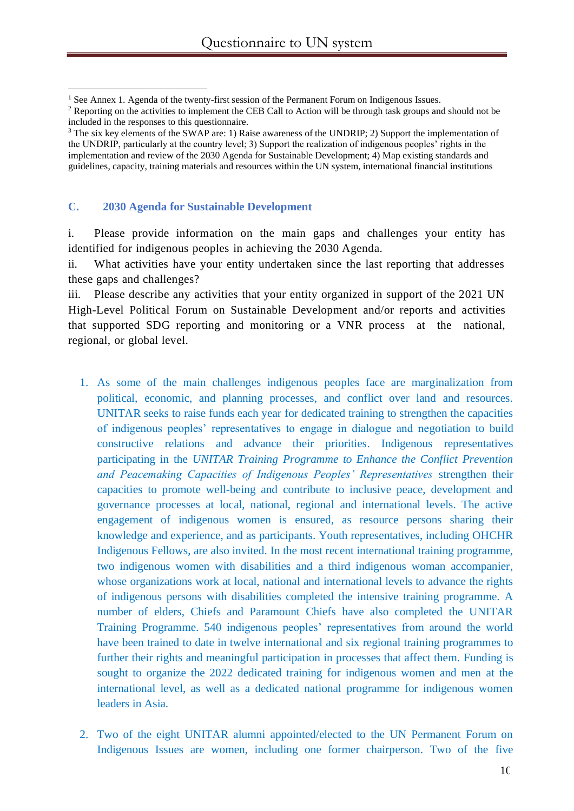#### **C. 2030 Agenda for Sustainable Development**

i. Please provide information on the main gaps and challenges your entity has identified for indigenous peoples in achieving the 2030 Agenda.

ii. What activities have your entity undertaken since the last reporting that addresses these gaps and challenges?

iii. Please describe any activities that your entity organized in support of the 2021 UN High-Level Political Forum on Sustainable Development and/or reports and activities that supported SDG reporting and monitoring or a VNR process at the national, regional, or global level.

- 1. As some of the main challenges indigenous peoples face are marginalization from political, economic, and planning processes, and conflict over land and resources. UNITAR seeks to raise funds each year for dedicated training to strengthen the capacities of indigenous peoples' representatives to engage in dialogue and negotiation to build constructive relations and advance their priorities. Indigenous representatives participating in the *UNITAR Training Programme to Enhance the Conflict Prevention and Peacemaking Capacities of Indigenous Peoples' Representatives* strengthen their capacities to promote well-being and contribute to inclusive peace, development and governance processes at local, national, regional and international levels. The active engagement of indigenous women is ensured, as resource persons sharing their knowledge and experience, and as participants. Youth representatives, including OHCHR Indigenous Fellows, are also invited. In the most recent international training programme, two indigenous women with disabilities and a third indigenous woman accompanier, whose organizations work at local, national and international levels to advance the rights of indigenous persons with disabilities completed the intensive training programme. A number of elders, Chiefs and Paramount Chiefs have also completed the UNITAR Training Programme. 540 indigenous peoples' representatives from around the world have been trained to date in twelve international and six regional training programmes to further their rights and meaningful participation in processes that affect them. Funding is sought to organize the 2022 dedicated training for indigenous women and men at the international level, as well as a dedicated national programme for indigenous women leaders in Asia.
- 2. Two of the eight UNITAR alumni appointed/elected to the UN Permanent Forum on Indigenous Issues are women, including one former chairperson. Two of the five

<sup>&</sup>lt;sup>1</sup> See Annex 1. Agenda of the twenty-first session of the Permanent Forum on Indigenous Issues.

<sup>&</sup>lt;sup>2</sup> Reporting on the activities to implement the CEB Call to Action will be through task groups and should not be included in the responses to this questionnaire.

<sup>&</sup>lt;sup>3</sup> The six key elements of the SWAP are: 1) Raise awareness of the UNDRIP; 2) Support the implementation of the UNDRIP, particularly at the country level; 3) Support the realization of indigenous peoples' rights in the implementation and review of the 2030 Agenda for Sustainable Development; 4) Map existing standards and guidelines, capacity, training materials and resources within the UN system, international financial institutions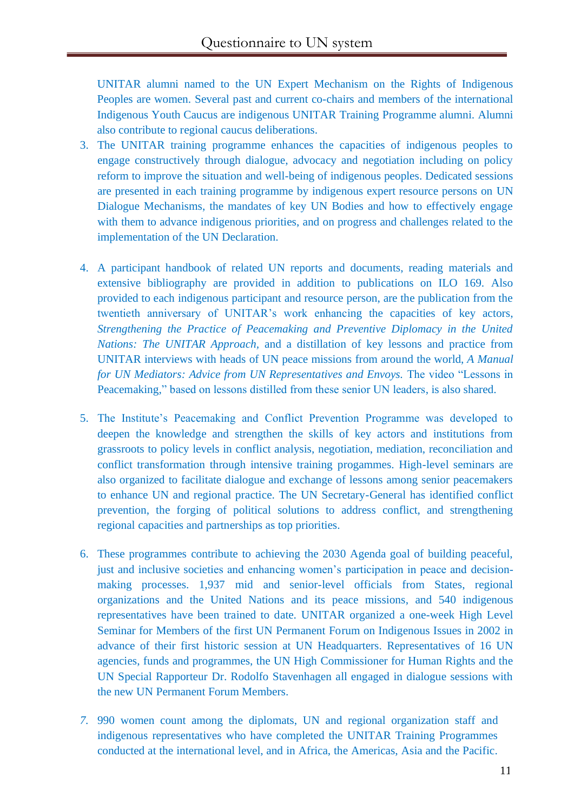UNITAR alumni named to the UN Expert Mechanism on the Rights of Indigenous Peoples are women. Several past and current co-chairs and members of the international Indigenous Youth Caucus are indigenous UNITAR Training Programme alumni. Alumni also contribute to regional caucus deliberations.

- 3. The UNITAR training programme enhances the capacities of indigenous peoples to engage constructively through dialogue, advocacy and negotiation including on policy reform to improve the situation and well-being of indigenous peoples. Dedicated sessions are presented in each training programme by indigenous expert resource persons on UN Dialogue Mechanisms, the mandates of key UN Bodies and how to effectively engage with them to advance indigenous priorities, and on progress and challenges related to the implementation of the UN Declaration.
- 4. A participant handbook of related UN reports and documents, reading materials and extensive bibliography are provided in addition to publications on ILO 169. Also provided to each indigenous participant and resource person, are the publication from the twentieth anniversary of UNITAR's work enhancing the capacities of key actors, *Strengthening the Practice of Peacemaking and Preventive Diplomacy in the United Nations: The UNITAR Approach,* and a distillation of key lessons and practice from UNITAR interviews with heads of UN peace missions from around the world, *A Manual for UN Mediators: Advice from UN Representatives and Envoys.* The video "Lessons in Peacemaking," based on lessons distilled from these senior UN leaders, is also shared.
- 5. The Institute's Peacemaking and Conflict Prevention Programme was developed to deepen the knowledge and strengthen the skills of key actors and institutions from grassroots to policy levels in conflict analysis, negotiation, mediation, reconciliation and conflict transformation through intensive training progammes. High-level seminars are also organized to facilitate dialogue and exchange of lessons among senior peacemakers to enhance UN and regional practice. The UN Secretary-General has identified conflict prevention, the forging of political solutions to address conflict, and strengthening regional capacities and partnerships as top priorities.
- 6. These programmes contribute to achieving the 2030 Agenda goal of building peaceful, just and inclusive societies and enhancing women's participation in peace and decisionmaking processes. 1,937 mid and senior-level officials from States, regional organizations and the United Nations and its peace missions, and 540 indigenous representatives have been trained to date. UNITAR organized a one-week High Level Seminar for Members of the first UN Permanent Forum on Indigenous Issues in 2002 in advance of their first historic session at UN Headquarters. Representatives of 16 UN agencies, funds and programmes, the UN High Commissioner for Human Rights and the UN Special Rapporteur Dr. Rodolfo Stavenhagen all engaged in dialogue sessions with the new UN Permanent Forum Members.
- *7.* 990 women count among the diplomats, UN and regional organization staff and indigenous representatives who have completed the UNITAR Training Programmes conducted at the international level, and in Africa, the Americas, Asia and the Pacific.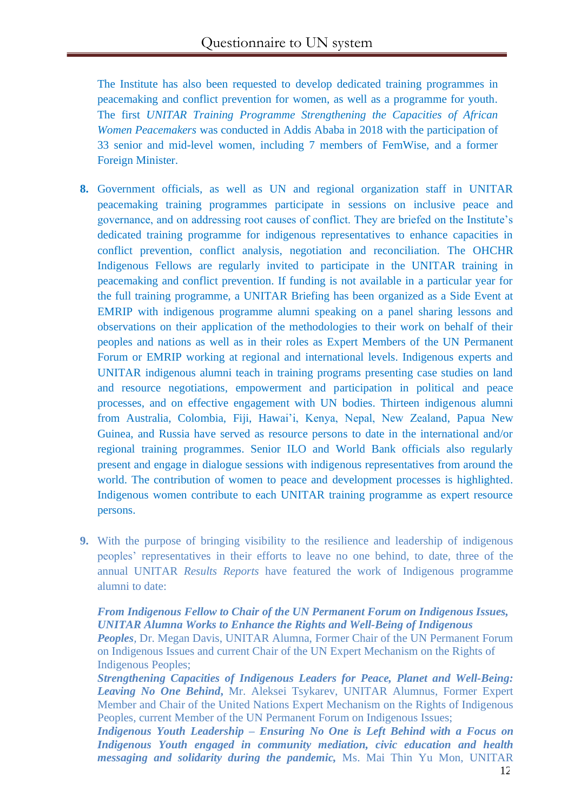The Institute has also been requested to develop dedicated training programmes in peacemaking and conflict prevention for women, as well as a programme for youth. The first *UNITAR Training Programme Strengthening the Capacities of African Women Peacemakers* was conducted in Addis Ababa in 2018 with the participation of 33 senior and mid-level women, including 7 members of FemWise, and a former Foreign Minister.

- **8.** Government officials, as well as UN and regional organization staff in UNITAR peacemaking training programmes participate in sessions on inclusive peace and governance, and on addressing root causes of conflict. They are briefed on the Institute's dedicated training programme for indigenous representatives to enhance capacities in conflict prevention, conflict analysis, negotiation and reconciliation. The OHCHR Indigenous Fellows are regularly invited to participate in the UNITAR training in peacemaking and conflict prevention. If funding is not available in a particular year for the full training programme, a UNITAR Briefing has been organized as a Side Event at EMRIP with indigenous programme alumni speaking on a panel sharing lessons and observations on their application of the methodologies to their work on behalf of their peoples and nations as well as in their roles as Expert Members of the UN Permanent Forum or EMRIP working at regional and international levels. Indigenous experts and UNITAR indigenous alumni teach in training programs presenting case studies on land and resource negotiations, empowerment and participation in political and peace processes, and on effective engagement with UN bodies. Thirteen indigenous alumni from Australia, Colombia, Fiji, Hawai'i, Kenya, Nepal, New Zealand, Papua New Guinea, and Russia have served as resource persons to date in the international and/or regional training programmes. Senior ILO and World Bank officials also regularly present and engage in dialogue sessions with indigenous representatives from around the world. The contribution of women to peace and development processes is highlighted. Indigenous women contribute to each UNITAR training programme as expert resource persons.
- **9.** With the purpose of bringing visibility to the resilience and leadership of indigenous peoples' representatives in their efforts to leave no one behind, to date, three of the annual UNITAR *Results Reports* have featured the work of Indigenous programme alumni to date:

*From Indigenous Fellow to Chair of the UN Permanent Forum on Indigenous Issues, UNITAR Alumna Works to Enhance the Rights and Well-Being of Indigenous*

*Peoples,* Dr. Megan Davis, UNITAR Alumna, Former Chair of the UN Permanent Forum on Indigenous Issues and current Chair of the UN Expert Mechanism on the Rights of Indigenous Peoples;

*Strengthening Capacities of Indigenous Leaders for Peace, Planet and Well-Being: Leaving No One Behind***,** Mr. Aleksei Tsykarev, UNITAR Alumnus, Former Expert Member and Chair of the United Nations Expert Mechanism on the Rights of Indigenous Peoples, current Member of the UN Permanent Forum on Indigenous Issues;

*Indigenous Youth Leadership – Ensuring No One is Left Behind with a Focus on Indigenous Youth engaged in community mediation, civic education and health messaging and solidarity during the pandemic,* Ms. Mai Thin Yu Mon, UNITAR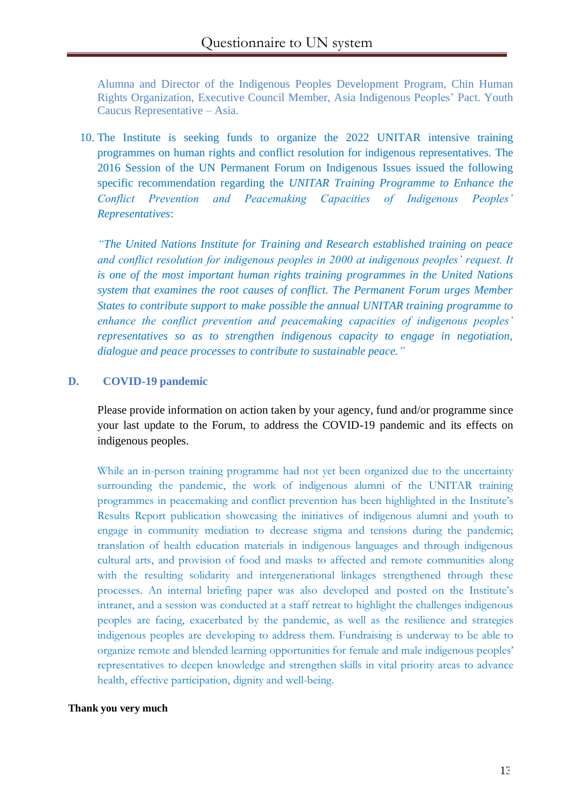Alumna and Director of the Indigenous Peoples Development Program, Chin Human Rights Organization, Executive Council Member, Asia Indigenous Peoples' Pact. Youth Caucus Representative – Asia.

10. The Institute is seeking funds to organize the 2022 UNITAR intensive training programmes on human rights and conflict resolution for indigenous representatives. The 2016 Session of the UN Permanent Forum on Indigenous Issues issued the following specific recommendation regarding the *UNITAR Training Programme to Enhance the Conflict Prevention and Peacemaking Capacities of Indigenous Peoples' Representatives*:

*"The United Nations Institute for Training and Research established training on peace and conflict resolution for indigenous peoples in 2000 at indigenous peoples' request. It is one of the most important human rights training programmes in the United Nations system that examines the root causes of conflict. The Permanent Forum urges Member States to contribute support to make possible the annual UNITAR training programme to enhance the conflict prevention and peacemaking capacities of indigenous peoples' representatives so as to strengthen indigenous capacity to engage in negotiation, dialogue and peace processes to contribute to sustainable peace."*

#### **D. COVID-19 pandemic**

Please provide information on action taken by your agency, fund and/or programme since your last update to the Forum, to address the COVID-19 pandemic and its effects on indigenous peoples.

While an in-person training programme had not yet been organized due to the uncertainty surrounding the pandemic, the work of indigenous alumni of the UNITAR training programmes in peacemaking and conflict prevention has been highlighted in the Institute's Results Report publication showcasing the initiatives of indigenous alumni and youth to engage in community mediation to decrease stigma and tensions during the pandemic; translation of health education materials in indigenous languages and through indigenous cultural arts, and provision of food and masks to affected and remote communities along with the resulting solidarity and intergenerational linkages strengthened through these processes. An internal briefing paper was also developed and posted on the Institute's intranet, and a session was conducted at a staff retreat to highlight the challenges indigenous peoples are facing, exacerbated by the pandemic, as well as the resilience and strategies indigenous peoples are developing to address them. Fundraising is underway to be able to organize remote and blended learning opportunities for female and male indigenous peoples' representatives to deepen knowledge and strengthen skills in vital priority areas to advance health, effective participation, dignity and well-being.

#### **Thank you very much**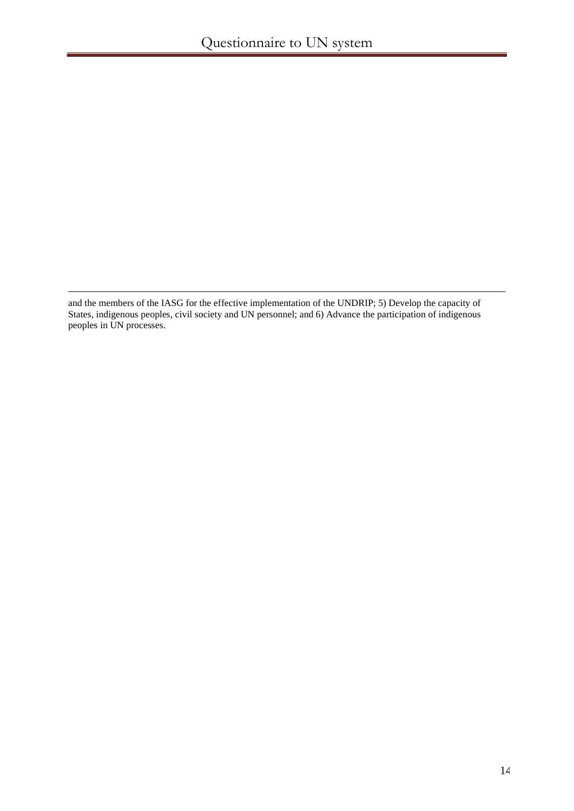and the members of the IASG for the effective implementation of the UNDRIP; 5) Develop the capacity of States, indigenous peoples, civil society and UN personnel; and 6) Advance the participation of indigenous peoples in UN processes.